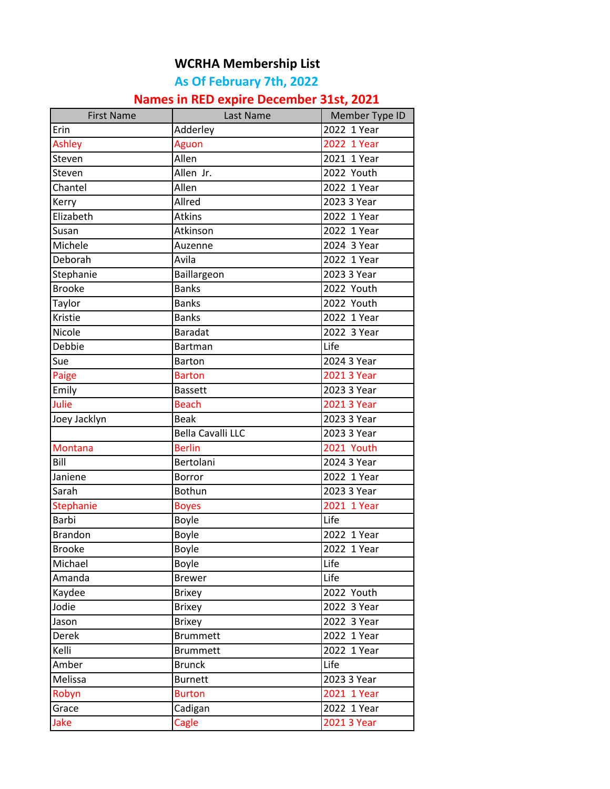## **WCRHA Membership List**

## **As Of February 7th, 2022**

## **Names in RED expire December 31st, 2021**

| <b>First Name</b> | Last Name         | Member Type ID |
|-------------------|-------------------|----------------|
| Erin              | Adderley          | 2022 1 Year    |
| <b>Ashley</b>     | Aguon             | 2022 1 Year    |
| Steven            | Allen             | $2021$ 1 Year  |
| Steven            | Allen Jr.         | 2022 Youth     |
| Chantel           | Allen             | 2022 1 Year    |
| Kerry             | Allred            | 2023 3 Year    |
| Elizabeth         | <b>Atkins</b>     | 2022 1 Year    |
| Susan             | Atkinson          | 2022 1 Year    |
| Michele           | Auzenne           | 2024 3 Year    |
| Deborah           | Avila             | 2022 1 Year    |
| Stephanie         | Baillargeon       | 2023 3 Year    |
| <b>Brooke</b>     | <b>Banks</b>      | 2022 Youth     |
| Taylor            | <b>Banks</b>      | 2022 Youth     |
| Kristie           | <b>Banks</b>      | 2022 1 Year    |
| Nicole            | <b>Baradat</b>    | $2022$ 3 Year  |
| Debbie            | Bartman           | Life           |
| Sue               | <b>Barton</b>     | 2024 3 Year    |
| Paige             | <b>Barton</b>     | 2021 3 Year    |
| Emily             | <b>Bassett</b>    | 2023 3 Year    |
| Julie             | <b>Beach</b>      | 2021 3 Year    |
| Joey Jacklyn      | <b>Beak</b>       | 2023 3 Year    |
|                   | Bella Cavalli LLC | 2023 3 Year    |
| Montana           | <b>Berlin</b>     | 2021 Youth     |
| Bill              | Bertolani         | 2024 3 Year    |
| Janiene           | Borror            | 2022 1 Year    |
| Sarah             | Bothun            | 2023 3 Year    |
| Stephanie         | <b>Boyes</b>      | 2021 1 Year    |
| Barbi             | Boyle             | Life           |
| <b>Brandon</b>    | Boyle             | 2022 1 Year    |
| <b>Brooke</b>     | Boyle             | 2022 1 Year    |
| Michael           | Boyle             | Life           |
| Amanda            | <b>Brewer</b>     | Life           |
| Kaydee            | <b>Brixey</b>     | 2022 Youth     |
| Jodie             | <b>Brixey</b>     | 2022 3 Year    |
| Jason             | <b>Brixey</b>     | 2022 3 Year    |
| <b>Derek</b>      | <b>Brummett</b>   | 2022 1 Year    |
| Kelli             | <b>Brummett</b>   | 2022 1 Year    |
| Amber             | <b>Brunck</b>     | Life           |
| Melissa           | <b>Burnett</b>    | 2023 3 Year    |
| Robyn             | <b>Burton</b>     | 2021 1 Year    |
| Grace             | Cadigan           | 2022 1 Year    |
| Jake              | Cagle             | 2021 3 Year    |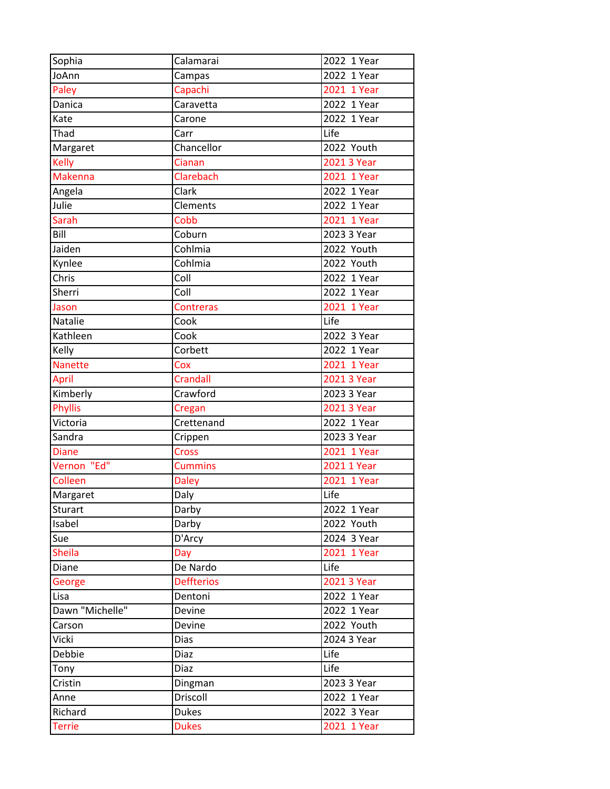| Sophia          | Calamarai                | 2022 1 Year |
|-----------------|--------------------------|-------------|
| JoAnn           | Campas                   | 2022 1 Year |
| Paley           | Capachi                  | 2021 1 Year |
| Danica          | Caravetta                | 2022 1 Year |
| Kate            | Carone                   | 2022 1 Year |
| Thad            | Carr                     | Life        |
| Margaret        | Chancellor               | 2022 Youth  |
| Kelly           | Cianan                   | 2021 3 Year |
| <b>Makenna</b>  | Clarebach                | 2021 1 Year |
| Angela          | Clark                    | 2022 1 Year |
| Julie           | Clements                 | 2022 1 Year |
| Sarah           | Cobb                     | 2021 1 Year |
| Bill            | Coburn                   | 2023 3 Year |
| Jaiden          | Cohlmia                  | 2022 Youth  |
| Kynlee          | Cohlmia                  | 2022 Youth  |
| Chris           | Coll                     | 2022 1 Year |
| Sherri          | $\overline{\text{Coll}}$ | 2022 1 Year |
| Jason           | <b>Contreras</b>         | 2021 1 Year |
| Natalie         | Cook                     | Life        |
| Kathleen        | Cook                     | 2022 3 Year |
| Kelly           | Corbett                  | 2022 1 Year |
| Nanette         | Cox                      | 2021 1 Year |
| April           | Crandall                 | 2021 3 Year |
| Kimberly        | Crawford                 | 2023 3 Year |
| <b>Phyllis</b>  | Cregan                   | 2021 3 Year |
| Victoria        | Crettenand               | 2022 1 Year |
| Sandra          | Crippen                  | 2023 3 Year |
| <b>Diane</b>    | <b>Cross</b>             | 2021 1 Year |
| Vernon "Ed"     | <b>Cummins</b>           | 2021 1 Year |
| Colleen         | <b>Daley</b>             | 2021 1 Year |
| Margaret        | $\overline{D}$ aly       | Life        |
| Sturart         | Darby                    | 2022 1 Year |
| Isabel          | Darby                    | 2022 Youth  |
| Sue             | D'Arcy                   | 2024 3 Year |
| <b>Sheila</b>   | Day                      | 2021 1 Year |
| Diane           | De Nardo                 | Life        |
| George          | <b>Deffterios</b>        | 2021 3 Year |
| Lisa            | Dentoni                  | 2022 1 Year |
| Dawn "Michelle" | Devine                   | 2022 1 Year |
| Carson          | Devine                   | 2022 Youth  |
| Vicki           | Dias                     | 2024 3 Year |
| Debbie          | Diaz                     | Life        |
| Tony            | Diaz                     | Life        |
| Cristin         | Dingman                  | 2023 3 Year |
| Anne            | Driscoll                 | 2022 1 Year |
| Richard         | <b>Dukes</b>             | 2022 3 Year |
| <b>Terrie</b>   | <b>Dukes</b>             | 2021 1 Year |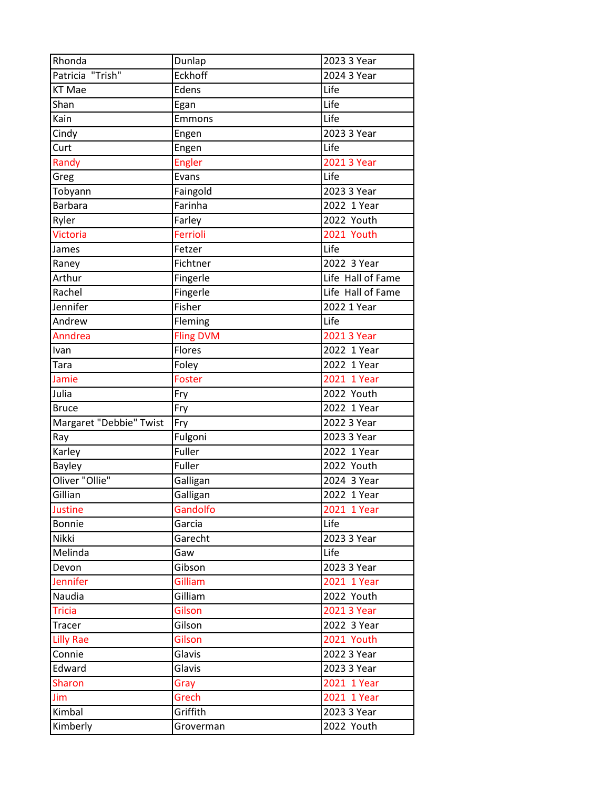| Rhonda                  | Dunlap           | 2023 3 Year       |
|-------------------------|------------------|-------------------|
| Patricia "Trish"        | Eckhoff          | 2024 3 Year       |
| <b>KT Mae</b>           | Edens            | Life              |
| Shan                    | Egan             | Life              |
| Kain                    | Emmons           | Life              |
| Cindy                   | Engen            | 2023 3 Year       |
| Curt                    | Engen            | Life              |
| Randy                   | <b>Engler</b>    | 2021 3 Year       |
| Greg                    | Evans            | Life              |
| Tobyann                 | Faingold         | 2023 3 Year       |
| <b>Barbara</b>          | Farinha          | 2022 1 Year       |
| Ryler                   | Farley           | 2022 Youth        |
| Victoria                | Ferrioli         | 2021 Youth        |
| James                   | Fetzer           | Life              |
| Raney                   | Fichtner         | 2022 3 Year       |
| Arthur                  | Fingerle         | Life Hall of Fame |
| Rachel                  | Fingerle         | Life Hall of Fame |
| Jennifer                | Fisher           | 2022 1 Year       |
| Andrew                  | Fleming          | Life              |
| Anndrea                 | <b>Fling DVM</b> | 2021 3 Year       |
| Ivan                    | Flores           | 2022 1 Year       |
| Tara                    | Foley            | 2022 1 Year       |
| Jamie                   | Foster           | 2021 1 Year       |
| Julia                   | Fry              | 2022 Youth        |
| <b>Bruce</b>            | Fry              | 2022 1 Year       |
| Margaret "Debbie" Twist | Fry              | 2022 3 Year       |
| Ray                     | Fulgoni          | 2023 3 Year       |
| Karley                  | Fuller           | 2022 1 Year       |
| <b>Bayley</b>           | Fuller           | 2022 Youth        |
| Oliver "Ollie"          | Galligan         | 2024 3 Year       |
| Gillian                 | Galligan         | 2022 1 Year       |
| <b>Justine</b>          | Gandolfo         | 2021 1 Year       |
| <b>Bonnie</b>           | Garcia           | Life              |
| Nikki                   | Garecht          | 2023 3 Year       |
| Melinda                 | Gaw              | Life              |
| Devon                   | Gibson           | 2023 3 Year       |
| <b>Jennifer</b>         | Gilliam          | 2021 1 Year       |
| Naudia                  | Gilliam          | 2022 Youth        |
| <b>Tricia</b>           | Gilson           | 2021 3 Year       |
| Tracer                  | Gilson           | $2022$ 3 Year     |
| <b>Lilly Rae</b>        | Gilson           | 2021 Youth        |
| Connie                  | Glavis           | 2022 3 Year       |
| Edward                  | Glavis           | 2023 3 Year       |
| <b>Sharon</b>           | Gray             | 2021 1 Year       |
| Jim                     | Grech            | 2021 1 Year       |
| Kimbal                  | Griffith         | 2023 3 Year       |
| Kimberly                | Groverman        | 2022 Youth        |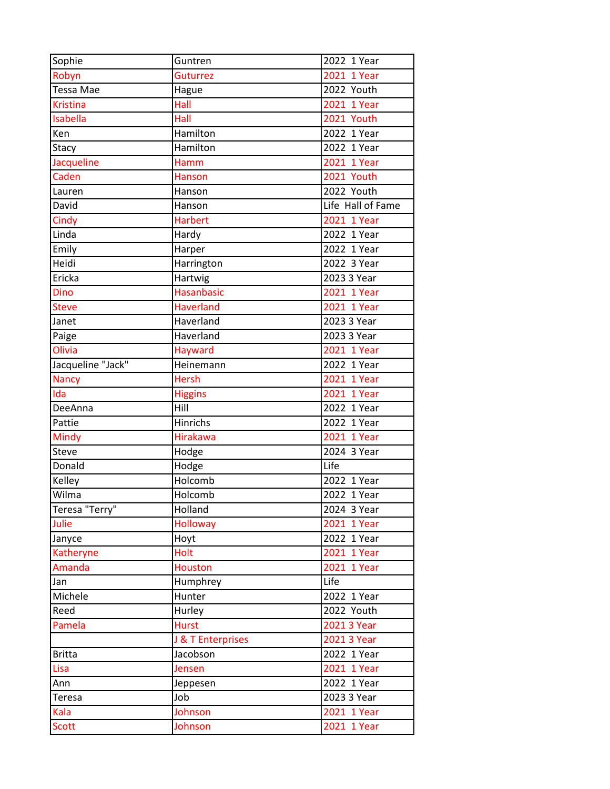| Sophie            | Guntren           | 2022 1 Year       |
|-------------------|-------------------|-------------------|
| Robyn             | Guturrez          | 2021 1 Year       |
| Tessa Mae         | Hague             | 2022 Youth        |
| <b>Kristina</b>   | Hall              | 2021 1 Year       |
| <b>Isabella</b>   | Hall              | 2021 Youth        |
| Ken               | Hamilton          | 2022 1 Year       |
| Stacy             | Hamilton          | 2022 1 Year       |
| Jacqueline        | Hamm              | 2021 1 Year       |
| Caden             | <b>Hanson</b>     | 2021 Youth        |
| Lauren            | Hanson            | 2022 Youth        |
| David             | Hanson            | Life Hall of Fame |
| Cindy             | <b>Harbert</b>    | 2021 1 Year       |
| Linda             | Hardy             | 2022 1 Year       |
| Emily             | Harper            | $2022$ 1 Year     |
| Heidi             | Harrington        | 2022 3 Year       |
| Ericka            | Hartwig           | 2023 3 Year       |
| Dino              | <b>Hasanbasic</b> | 2021 1 Year       |
| <b>Steve</b>      | <b>Haverland</b>  | 2021 1 Year       |
| Janet             | Haverland         | 2023 3 Year       |
| Paige             | Haverland         | 2023 3 Year       |
| Olivia            | Hayward           | 2021 1 Year       |
| Jacqueline "Jack" | Heinemann         | 2022 1 Year       |
| <b>Nancy</b>      | <b>Hersh</b>      | 2021 1 Year       |
| Ida               | <b>Higgins</b>    | 2021 1 Year       |
| DeeAnna           | Hill              | 2022 1 Year       |
| Pattie            | <b>Hinrichs</b>   | 2022 1 Year       |
| <b>Mindy</b>      | <b>Hirakawa</b>   | 2021 1 Year       |
| <b>Steve</b>      | Hodge             | 2024 3 Year       |
| Donald            | Hodge             | Life              |
| Kelley            | <b>Holcomb</b>    | 2022 1 Year       |
| Wilma             | Holcomb           | 2022 1 Year       |
| Teresa "Terry"    | Holland           | 2024 3 Year       |
| Julie             | <b>Holloway</b>   | 2021 1 Year       |
| Janyce            | Hoyt              | 2022 1 Year       |
| Katheryne         | Holt              | 2021 1 Year       |
| Amanda            | <b>Houston</b>    | 2021 1 Year       |
| Jan               | Humphrey          | Life              |
| Michele           | Hunter            | 2022 1 Year       |
| Reed              | Hurley            | 2022 Youth        |
| Pamela            | <b>Hurst</b>      | 2021 3 Year       |
|                   | J & T Enterprises | 2021 3 Year       |
| <b>Britta</b>     | Jacobson          | 2022 1 Year       |
| Lisa              | Jensen            | 2021 1 Year       |
| Ann               | Jeppesen          | 2022 1 Year       |
| <b>Teresa</b>     | Job               | 2023 3 Year       |
| Kala              | Johnson           | 2021 1 Year       |
| <b>Scott</b>      | Johnson           | 2021 1 Year       |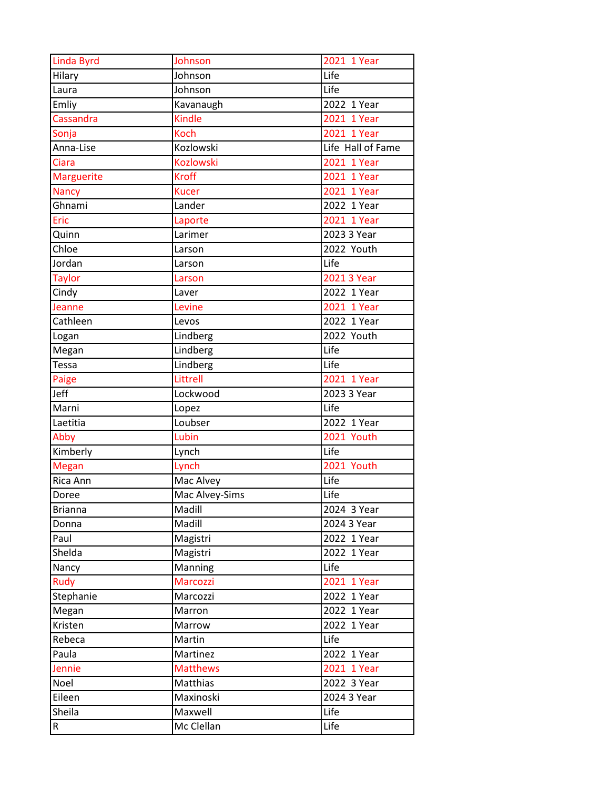| <b>Linda Byrd</b> | Johnson          | 2021 1 Year       |
|-------------------|------------------|-------------------|
| Hilary            | Johnson          | Life              |
| Laura             | Johnson          | Life              |
| Emliy             | Kavanaugh        | 2022 1 Year       |
| Cassandra         | Kindle           | 2021 1 Year       |
| Sonja             | <b>Koch</b>      | 2021 1 Year       |
| Anna-Lise         | Kozlowski        | Life Hall of Fame |
| Ciara             | <b>Kozlowski</b> | 2021 1 Year       |
| <b>Marguerite</b> | <b>Kroff</b>     | 2021 1 Year       |
| <b>Nancy</b>      | <b>Kucer</b>     | 2021 1 Year       |
| Ghnami            | Lander           | 2022 1 Year       |
| Eric              | Laporte          | 2021 1 Year       |
| Quinn             | Larimer          | 2023 3 Year       |
| Chloe             | Larson           | 2022 Youth        |
| Jordan            | Larson           | Life              |
| <b>Taylor</b>     | Larson           | 2021 3 Year       |
| Cindy             | Laver            | 2022 1 Year       |
| Jeanne            | Levine           | 2021 1 Year       |
| Cathleen          | Levos            | 2022 1 Year       |
| Logan             | Lindberg         | 2022 Youth        |
| Megan             | Lindberg         | Life              |
| <b>Tessa</b>      | Lindberg         | Life              |
| Paige             | Littrell         | $2021$ 1 Year     |
| Jeff              | Lockwood         | 2023 3 Year       |
| Marni             | Lopez            | Life              |
| Laetitia          | Loubser          | 2022 1 Year       |
| Abby              | Lubin            | 2021 Youth        |
| Kimberly          | Lynch            | Life              |
| <b>Megan</b>      | Lynch            | 2021 Youth        |
| Rica Ann          | Mac Alvey        | Life              |
| Doree             | Mac Alvey-Sims   | Life              |
| <b>Brianna</b>    | Madill           | 2024 3 Year       |
| Donna             | Madill           | 2024 3 Year       |
| Paul              | Magistri         | 2022 1 Year       |
| Shelda            | Magistri         | 2022 1 Year       |
| Nancy             | Manning          | Life              |
| Rudy              | Marcozzi         | 2021 1 Year       |
| Stephanie         | Marcozzi         | 2022 1 Year       |
| Megan             | Marron           | 2022 1 Year       |
| Kristen           | Marrow           | 2022 1 Year       |
| Rebeca            | Martin           | Life              |
| Paula             | Martinez         | 2022 1 Year       |
| Jennie            | <b>Matthews</b>  | 2021 1 Year       |
| Noel              | Matthias         | 2022 3 Year       |
| Eileen            | Maxinoski        | 2024 3 Year       |
| Sheila            | Maxwell          | Life              |
| R                 | Mc Clellan       | Life              |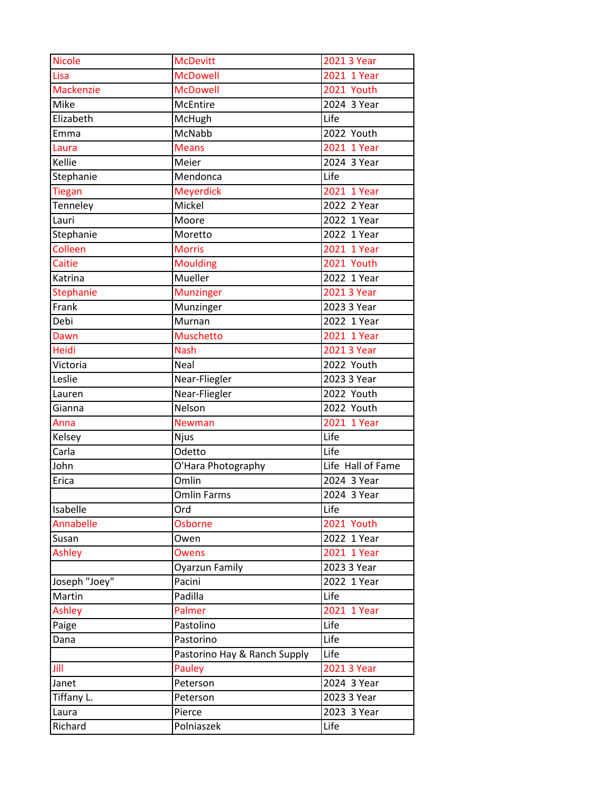| <b>Nicole</b>    | <b>McDevitt</b>              | 2021 3 Year       |
|------------------|------------------------------|-------------------|
| Lisa             | <b>McDowell</b>              | 2021 1 Year       |
| <b>Mackenzie</b> | <b>McDowell</b>              | 2021 Youth        |
| Mike             | <b>McEntire</b>              | 2024 3 Year       |
| Elizabeth        | McHugh                       | Life              |
| Emma             | McNabb                       | $2022$ Youth      |
| Laura            | <b>Means</b>                 | 2021 1 Year       |
| Kellie           | Meier                        | 2024 3 Year       |
| Stephanie        | Mendonca                     | Life              |
| <b>Tiegan</b>    | <b>Meyerdick</b>             | 2021 1 Year       |
| Tenneley         | Mickel                       | 2022 2 Year       |
| Lauri            | Moore                        | 2022 1 Year       |
| Stephanie        | Moretto                      | 2022 1 Year       |
| Colleen          | <b>Morris</b>                | 2021 1 Year       |
| Caitie           | <b>Moulding</b>              | 2021 Youth        |
| Katrina          | Mueller                      | 2022 1 Year       |
| <b>Stephanie</b> | <b>Munzinger</b>             | 2021 3 Year       |
| Frank            | Munzinger                    | 2023 3 Year       |
| Debi             | Murnan                       | 2022 1 Year       |
| Dawn             | <b>Muschetto</b>             | 2021 1 Year       |
| Heidi            | <b>Nash</b>                  | 2021 3 Year       |
| Victoria         | Neal                         | 2022 Youth        |
| Leslie           | Near-Fliegler                | 2023 3 Year       |
| Lauren           | Near-Fliegler                | 2022 Youth        |
| Gianna           | Nelson                       | 2022 Youth        |
| Anna             | <b>Newman</b>                | 2021 1 Year       |
| Kelsey           | Njus                         | Life              |
| Carla            | Odetto                       | Life              |
| John             | O'Hara Photography           | Life Hall of Fame |
| Erica            | Omlin                        | 2024 3 Year       |
|                  | <b>Omlin Farms</b>           | 2024 3 Year       |
| Isabelle         | Ord                          | Life              |
| Annabelle        | <b>Osborne</b>               | 2021 Youth        |
| Susan            | Owen                         | 2022 1 Year       |
| Ashley           | <b>Owens</b>                 | 2021 1 Year       |
|                  | <b>Oyarzun Family</b>        | 2023 3 Year       |
| Joseph "Joey"    | Pacini                       | 2022 1 Year       |
| Martin           | Padilla                      | Life              |
| Ashley           | Palmer                       | 2021 1 Year       |
| Paige            | Pastolino                    | Life              |
| Dana             | Pastorino                    | Life              |
|                  | Pastorino Hay & Ranch Supply | Life              |
| Jill             | Pauley                       | 2021 3 Year       |
| Janet            | Peterson                     | 2024 3 Year       |
| Tiffany L.       | Peterson                     | 2023 3 Year       |
| Laura            | Pierce                       | 2023 3 Year       |
| Richard          | Polniaszek                   | Life              |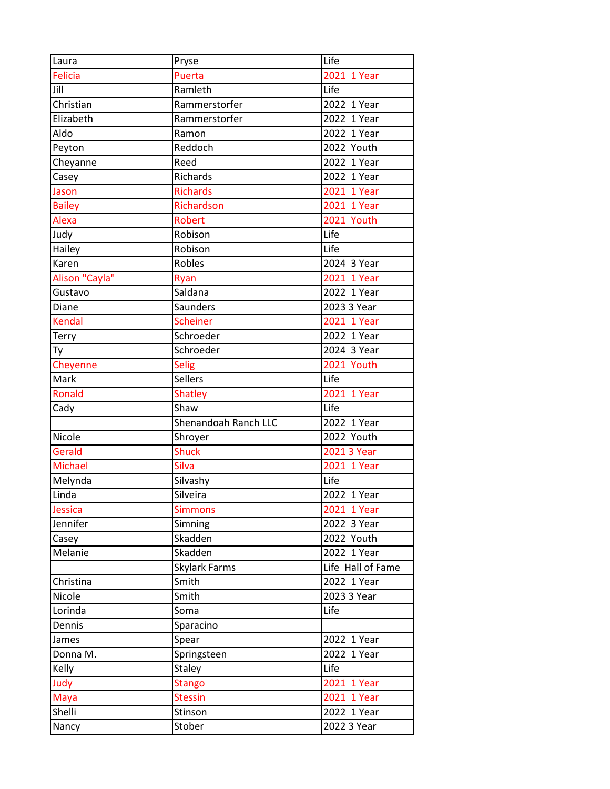| Laura          | Pryse                | Life              |
|----------------|----------------------|-------------------|
| <b>Felicia</b> | Puerta               | 2021 1 Year       |
| Jill           | Ramleth              | Life              |
| Christian      | Rammerstorfer        | 2022 1 Year       |
| Elizabeth      | Rammerstorfer        | 2022 1 Year       |
| Aldo           | Ramon                | 2022 1 Year       |
| Peyton         | Reddoch              | 2022 Youth        |
| Cheyanne       | Reed                 | 2022 1 Year       |
| Casey          | Richards             | 2022 1 Year       |
| Jason          | <b>Richards</b>      | 2021 1 Year       |
| <b>Bailey</b>  | Richardson           | 2021 1 Year       |
| Alexa          | <b>Robert</b>        | 2021 Youth        |
| Judy           | Robison              | Life              |
| Hailey         | Robison              | Life              |
| Karen          | Robles               | 2024 3 Year       |
| Alison "Cayla" | Ryan                 | 2021 1 Year       |
| Gustavo        | Saldana              | 2022 1 Year       |
| Diane          | Saunders             | 2023 3 Year       |
| <b>Kendal</b>  | <b>Scheiner</b>      | 2021 1 Year       |
| Terry          | Schroeder            | 2022 1 Year       |
| Ty             | Schroeder            | $2024$ 3 Year     |
| Cheyenne       | <b>Selig</b>         | 2021 Youth        |
| Mark           | <b>Sellers</b>       | Life              |
| Ronald         | <b>Shatley</b>       | 2021 1 Year       |
| Cady           | Shaw                 | Life              |
|                | Shenandoah Ranch LLC | $2022$ 1 Year     |
| Nicole         | Shroyer              | 2022 Youth        |
| Gerald         | <b>Shuck</b>         | 2021 3 Year       |
| <b>Michael</b> | Silva                | 2021 1 Year       |
| Melynda        | Silvashy             | Life              |
| Linda          | Silveira             | 2022 1 Year       |
| Jessica        | <b>Simmons</b>       | 2021 1 Year       |
| Jennifer       | Simning              | 2022 3 Year       |
| Casey          | Skadden              | 2022 Youth        |
| Melanie        | Skadden              | 2022 1 Year       |
|                | Skylark Farms        | Life Hall of Fame |
| Christina      | Smith                | 2022 1 Year       |
| Nicole         | Smith                | 2023 3 Year       |
| Lorinda        | Soma                 | Life              |
| Dennis         | Sparacino            |                   |
| James          | Spear                | 2022 1 Year       |
| Donna M.       | Springsteen          | 2022 1 Year       |
| Kelly          | Staley               | Life              |
| Judy           | <b>Stango</b>        | 2021 1 Year       |
| Maya           | <b>Stessin</b>       | 2021 1 Year       |
| Shelli         | Stinson              | 2022 1 Year       |
| Nancy          | Stober               | 2022 3 Year       |